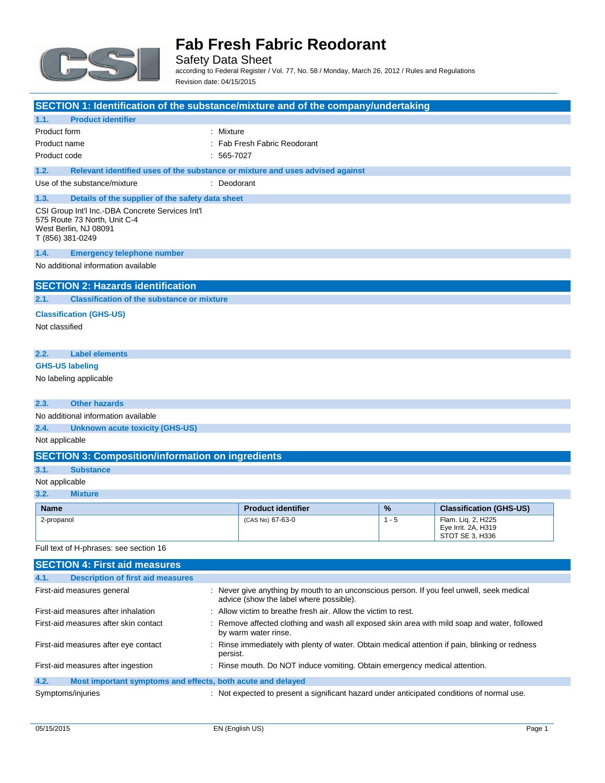

Safety Data Sheet according to Federal Register / Vol. 77, No. 58 / Monday, March 26, 2012 / Rules and Regulations Revision date: 04/15/2015

| SECTION 1: Identification of the substance/mixture and of the company/undertaking                                             |                                                                                                                                      |         |                                                              |
|-------------------------------------------------------------------------------------------------------------------------------|--------------------------------------------------------------------------------------------------------------------------------------|---------|--------------------------------------------------------------|
| <b>Product identifier</b><br>1.1.                                                                                             |                                                                                                                                      |         |                                                              |
| Product form<br>: Mixture                                                                                                     |                                                                                                                                      |         |                                                              |
| Product name                                                                                                                  | : Fab Fresh Fabric Reodorant                                                                                                         |         |                                                              |
| Product code                                                                                                                  | $: 565-7027$                                                                                                                         |         |                                                              |
| 1.2.<br>Relevant identified uses of the substance or mixture and uses advised against                                         |                                                                                                                                      |         |                                                              |
| Use of the substance/mixture                                                                                                  | : Deodorant                                                                                                                          |         |                                                              |
| 1.3.<br>Details of the supplier of the safety data sheet                                                                      |                                                                                                                                      |         |                                                              |
| CSI Group Int'l Inc.-DBA Concrete Services Int'l<br>575 Route 73 North, Unit C-4<br>West Berlin, NJ 08091<br>T (856) 381-0249 |                                                                                                                                      |         |                                                              |
| 1.4.<br><b>Emergency telephone number</b>                                                                                     |                                                                                                                                      |         |                                                              |
| No additional information available                                                                                           |                                                                                                                                      |         |                                                              |
| <b>SECTION 2: Hazards identification</b>                                                                                      |                                                                                                                                      |         |                                                              |
| <b>Classification of the substance or mixture</b><br>2.1.                                                                     |                                                                                                                                      |         |                                                              |
| <b>Classification (GHS-US)</b>                                                                                                |                                                                                                                                      |         |                                                              |
| Not classified                                                                                                                |                                                                                                                                      |         |                                                              |
|                                                                                                                               |                                                                                                                                      |         |                                                              |
| <b>Label elements</b><br>2.2.                                                                                                 |                                                                                                                                      |         |                                                              |
| <b>GHS-US labeling</b>                                                                                                        |                                                                                                                                      |         |                                                              |
| No labeling applicable                                                                                                        |                                                                                                                                      |         |                                                              |
|                                                                                                                               |                                                                                                                                      |         |                                                              |
| 2.3.<br><b>Other hazards</b>                                                                                                  |                                                                                                                                      |         |                                                              |
| No additional information available                                                                                           |                                                                                                                                      |         |                                                              |
| 2.4.<br><b>Unknown acute toxicity (GHS-US)</b>                                                                                |                                                                                                                                      |         |                                                              |
| Not applicable                                                                                                                |                                                                                                                                      |         |                                                              |
| <b>SECTION 3: Composition/information on ingredients</b>                                                                      |                                                                                                                                      |         |                                                              |
| 3.1.<br><b>Substance</b>                                                                                                      |                                                                                                                                      |         |                                                              |
| Not applicable                                                                                                                |                                                                                                                                      |         |                                                              |
| 3.2.<br><b>Mixture</b>                                                                                                        |                                                                                                                                      |         |                                                              |
| <b>Name</b>                                                                                                                   | <b>Product identifier</b>                                                                                                            | %       | <b>Classification (GHS-US)</b>                               |
| 2-propanol                                                                                                                    | (CAS No) 67-63-0                                                                                                                     | $1 - 5$ | Flam. Lig. 2, H225<br>Eye Irrit. 2A, H319<br>STOT SE 3, H336 |
| Full text of H-phrases: see section 16                                                                                        |                                                                                                                                      |         |                                                              |
| <b>SECTION 4: First aid measures</b>                                                                                          |                                                                                                                                      |         |                                                              |
| 4.1.<br><b>Description of first aid measures</b>                                                                              |                                                                                                                                      |         |                                                              |
| First-aid measures general                                                                                                    | : Never give anything by mouth to an unconscious person. If you feel unwell, seek medical<br>advice (show the label where possible). |         |                                                              |

First-aid measures after skin contact : Remove affected clothing and wash all exposed skin area with mild soap and water, followed

First-aid measures after eye contact : Rinse immediately with plenty of water. Obtain medical attention if pain, blinking or redness

Symptoms/injuries **interpretent in the symptoms** of the symptoms/injuries interpretent a significant hazard under anticipated conditions of normal use.

First-aid measures after inhalation : Allow victim to breathe fresh air. Allow the victim to rest.

persist.

**4.2. Most important symptoms and effects, both acute and delayed**

by warm water rinse.

First-aid measures after ingestion : Rinse mouth. Do NOT induce vomiting. Obtain emergency medical attention.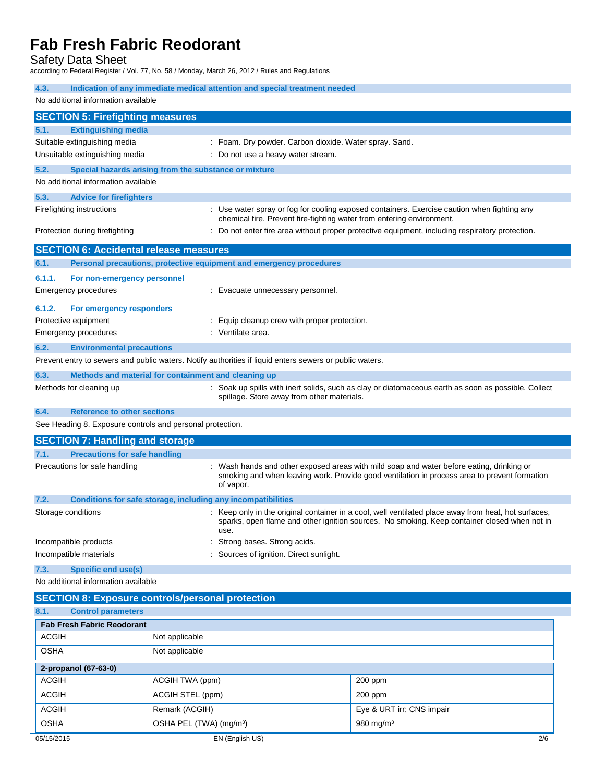Safety Data Sheet

according to Federal Register / Vol. 77, No. 58 / Monday, March 26, 2012 / Rules and Regulations

| 4.3.<br>Indication of any immediate medical attention and special treatment needed<br>No additional information available |                                                                                                         |                                                                                                                                                                                                      |  |
|---------------------------------------------------------------------------------------------------------------------------|---------------------------------------------------------------------------------------------------------|------------------------------------------------------------------------------------------------------------------------------------------------------------------------------------------------------|--|
| <b>SECTION 5: Firefighting measures</b>                                                                                   |                                                                                                         |                                                                                                                                                                                                      |  |
| 5.1.<br><b>Extinguishing media</b>                                                                                        |                                                                                                         |                                                                                                                                                                                                      |  |
| Suitable extinguishing media                                                                                              | : Foam. Dry powder. Carbon dioxide. Water spray. Sand.                                                  |                                                                                                                                                                                                      |  |
| Unsuitable extinguishing media                                                                                            | : Do not use a heavy water stream.                                                                      |                                                                                                                                                                                                      |  |
| 5.2.                                                                                                                      | Special hazards arising from the substance or mixture                                                   |                                                                                                                                                                                                      |  |
| No additional information available                                                                                       |                                                                                                         |                                                                                                                                                                                                      |  |
| 5.3.<br><b>Advice for firefighters</b>                                                                                    |                                                                                                         |                                                                                                                                                                                                      |  |
| Firefighting instructions                                                                                                 |                                                                                                         | : Use water spray or fog for cooling exposed containers. Exercise caution when fighting any<br>chemical fire. Prevent fire-fighting water from entering environment.                                 |  |
| Protection during firefighting                                                                                            |                                                                                                         | : Do not enter fire area without proper protective equipment, including respiratory protection.                                                                                                      |  |
| <b>SECTION 6: Accidental release measures</b>                                                                             |                                                                                                         |                                                                                                                                                                                                      |  |
| 6.1.                                                                                                                      | Personal precautions, protective equipment and emergency procedures                                     |                                                                                                                                                                                                      |  |
| 6.1.1.<br>For non-emergency personnel                                                                                     |                                                                                                         |                                                                                                                                                                                                      |  |
| Emergency procedures                                                                                                      | : Evacuate unnecessary personnel.                                                                       |                                                                                                                                                                                                      |  |
| 6.1.2.<br>For emergency responders                                                                                        |                                                                                                         |                                                                                                                                                                                                      |  |
| Protective equipment                                                                                                      | : Equip cleanup crew with proper protection.                                                            |                                                                                                                                                                                                      |  |
| <b>Emergency procedures</b>                                                                                               | : Ventilate area.                                                                                       |                                                                                                                                                                                                      |  |
| 6.2.<br><b>Environmental precautions</b>                                                                                  |                                                                                                         |                                                                                                                                                                                                      |  |
|                                                                                                                           | Prevent entry to sewers and public waters. Notify authorities if liquid enters sewers or public waters. |                                                                                                                                                                                                      |  |
| 6.3.                                                                                                                      | Methods and material for containment and cleaning up                                                    |                                                                                                                                                                                                      |  |
| Methods for cleaning up                                                                                                   | spillage. Store away from other materials.                                                              | : Soak up spills with inert solids, such as clay or diatomaceous earth as soon as possible. Collect                                                                                                  |  |
| 6.4.<br><b>Reference to other sections</b>                                                                                |                                                                                                         |                                                                                                                                                                                                      |  |
| See Heading 8. Exposure controls and personal protection.                                                                 |                                                                                                         |                                                                                                                                                                                                      |  |
| <b>SECTION 7: Handling and storage</b>                                                                                    |                                                                                                         |                                                                                                                                                                                                      |  |
| <b>Precautions for safe handling</b><br>7.1.                                                                              |                                                                                                         |                                                                                                                                                                                                      |  |
| Precautions for safe handling                                                                                             |                                                                                                         | : Wash hands and other exposed areas with mild soap and water before eating, drinking or<br>smoking and when leaving work. Provide good ventilation in process area to prevent formation             |  |
|                                                                                                                           | of vapor.                                                                                               |                                                                                                                                                                                                      |  |
| 7.2.                                                                                                                      | Conditions for safe storage, including any incompatibilities                                            |                                                                                                                                                                                                      |  |
| Storage conditions                                                                                                        |                                                                                                         | : Keep only in the original container in a cool, well ventilated place away from heat, hot surfaces,<br>sparks, open flame and other ignition sources. No smoking. Keep container closed when not in |  |
| Incompatible products                                                                                                     | use.<br>Strong bases. Strong acids.                                                                     |                                                                                                                                                                                                      |  |
| Incompatible materials                                                                                                    | : Sources of ignition. Direct sunlight.                                                                 |                                                                                                                                                                                                      |  |
| <b>Specific end use(s)</b><br>7.3.                                                                                        |                                                                                                         |                                                                                                                                                                                                      |  |
| No additional information available                                                                                       |                                                                                                         |                                                                                                                                                                                                      |  |
|                                                                                                                           | <b>SECTION 8: Exposure controls/personal protection</b>                                                 |                                                                                                                                                                                                      |  |
| 8.1.<br><b>Control parameters</b>                                                                                         |                                                                                                         |                                                                                                                                                                                                      |  |
| <b>Fab Fresh Fabric Reodorant</b>                                                                                         |                                                                                                         |                                                                                                                                                                                                      |  |
| <b>ACGIH</b>                                                                                                              | Not applicable                                                                                          |                                                                                                                                                                                                      |  |
| <b>OSHA</b>                                                                                                               | Not applicable                                                                                          |                                                                                                                                                                                                      |  |
| 2-propanol (67-63-0)                                                                                                      |                                                                                                         |                                                                                                                                                                                                      |  |
| <b>ACGIH</b>                                                                                                              | ACGIH TWA (ppm)                                                                                         | 200 ppm                                                                                                                                                                                              |  |
| <b>ACGIH</b>                                                                                                              | ACGIH STEL (ppm)                                                                                        | $200$ ppm                                                                                                                                                                                            |  |
| <b>ACGIH</b>                                                                                                              | Remark (ACGIH)                                                                                          | Eye & URT irr; CNS impair                                                                                                                                                                            |  |
| <b>OSHA</b>                                                                                                               | OSHA PEL (TWA) (mg/m <sup>3</sup> )                                                                     | 980 mg/m <sup>3</sup>                                                                                                                                                                                |  |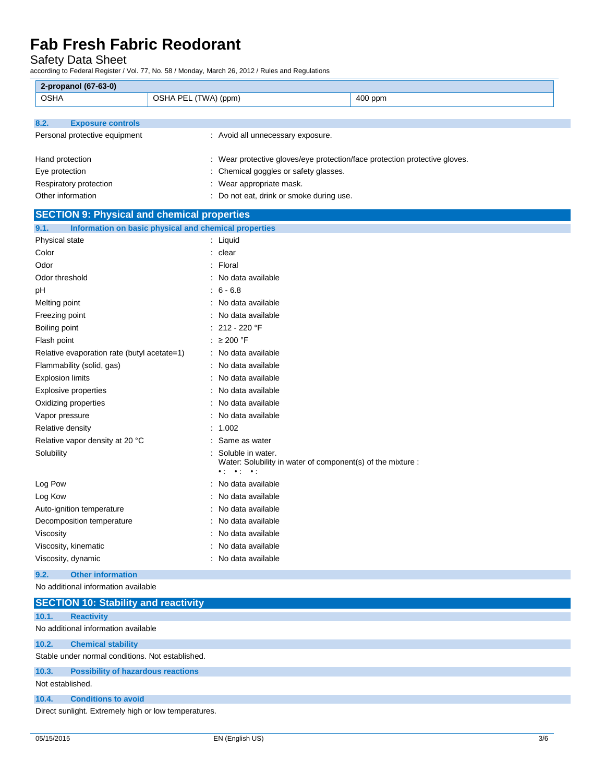Safety Data Sheet

according to Federal Register / Vol. 77, No. 58 / Monday, March 26, 2012 / Rules and Regulations

| 2-propanol (67-63-0)                               |                                                          |                                                                            |
|----------------------------------------------------|----------------------------------------------------------|----------------------------------------------------------------------------|
| <b>OSHA</b>                                        | OSHA PEL (TWA) (ppm)                                     | 400 ppm                                                                    |
|                                                    |                                                          |                                                                            |
| 8.2.<br><b>Exposure controls</b>                   |                                                          |                                                                            |
| Personal protective equipment                      | : Avoid all unnecessary exposure.                        |                                                                            |
|                                                    |                                                          |                                                                            |
| Hand protection                                    |                                                          | : Wear protective gloves/eye protection/face protection protective gloves. |
| Eye protection                                     | : Chemical goggles or safety glasses.                    |                                                                            |
| Respiratory protection                             | : Wear appropriate mask.                                 |                                                                            |
| Other information                                  | : Do not eat, drink or smoke during use.                 |                                                                            |
| <b>SECTION 9: Physical and chemical properties</b> |                                                          |                                                                            |
| 9.1.                                               | Information on basic physical and chemical properties    |                                                                            |
| Physical state                                     | : Liquid                                                 |                                                                            |
| Color                                              | : clear                                                  |                                                                            |
| Odor                                               | : Floral                                                 |                                                                            |
| Odor threshold                                     | : No data available                                      |                                                                            |
| рH                                                 | $: 6 - 6.8$                                              |                                                                            |
| Melting point                                      | : No data available                                      |                                                                            |
| Freezing point                                     | : No data available                                      |                                                                            |
| Boiling point                                      | 212 - 220 °F                                             |                                                                            |
| Flash point                                        | : $\geq 200$ °F                                          |                                                                            |
| Relative evaporation rate (butyl acetate=1)        | : No data available                                      |                                                                            |
| Flammability (solid, gas)                          | : No data available                                      |                                                                            |
| <b>Explosion limits</b>                            | : No data available                                      |                                                                            |
| <b>Explosive properties</b>                        | No data available                                        |                                                                            |
| Oxidizing properties                               | No data available                                        |                                                                            |
| Vapor pressure                                     | No data available                                        |                                                                            |
| Relative density                                   | 1.002                                                    |                                                                            |
| Relative vapor density at 20 °C                    | Same as water                                            |                                                                            |
| Solubility                                         | Soluble in water.<br>$\bullet$ 1 $\bullet$ 1 $\bullet$ 1 | Water: Solubility in water of component(s) of the mixture :                |
| Log Pow                                            | No data available                                        |                                                                            |
| Log Kow                                            | No data available                                        |                                                                            |
| Auto-ignition temperature                          | : No data available                                      |                                                                            |
| Decomposition temperature                          | : No data available                                      |                                                                            |
| Viscosity                                          | No data available                                        |                                                                            |
| Viscosity, kinematic                               | : No data available                                      |                                                                            |
| Viscosity, dynamic                                 | : No data available                                      |                                                                            |
| Other information<br>$\mathbf{a}$                  |                                                          |                                                                            |

#### **9.2. Other information** No additional information available

**SECTION 10: Stability and reactivity 10.1. Reactivity** No additional information available **10.2. Chemical stability** Stable under normal conditions. Not established. **10.3. Possibility of hazardous reactions** Not established. **10.4. Conditions to avoid** Direct sunlight. Extremely high or low temperatures.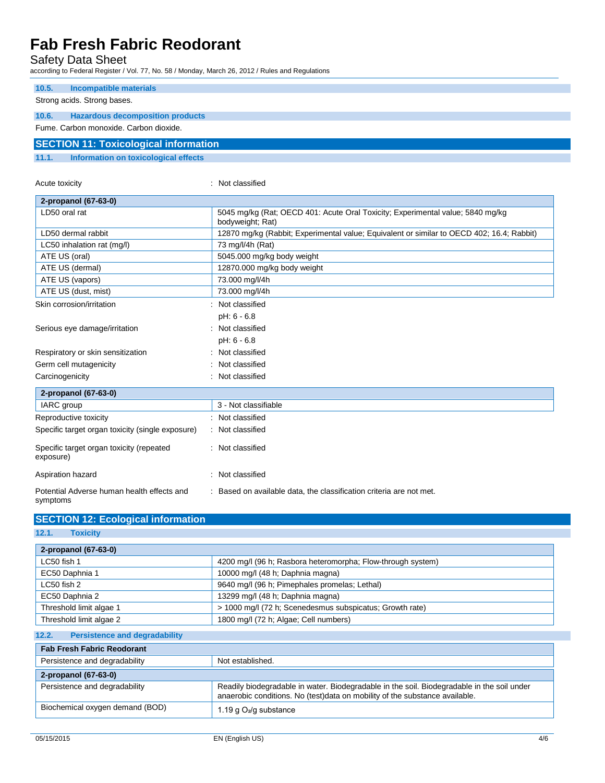Acute toxicity in the contract of the classified in the classified in the classified in the classified in the classified in the classified in the classified in the contract of the contract of the contract of the contract o

**SECTION 12: Ecological information**

Safety Data Sheet

according to Federal Register / Vol. 77, No. 58 / Monday, March 26, 2012 / Rules and Regulations

| 10.5.<br>Incompatible materials                  |  |
|--------------------------------------------------|--|
| Strong acids. Strong bases.                      |  |
|                                                  |  |
| <b>Hazardous decomposition products</b><br>10.6. |  |
| Fume, Carbon monoxide, Carbon dioxide,           |  |
| <b>SECTION 11: Toxicological information</b>     |  |
| Information on toxicological effects<br>11.1.    |  |

| 2-propanol (67-63-0)                                   |                                                                                                    |
|--------------------------------------------------------|----------------------------------------------------------------------------------------------------|
| LD50 oral rat                                          | 5045 mg/kg (Rat; OECD 401: Acute Oral Toxicity; Experimental value; 5840 mg/kg<br>bodyweight; Rat) |
| LD50 dermal rabbit                                     | 12870 mg/kg (Rabbit; Experimental value; Equivalent or similar to OECD 402; 16.4; Rabbit)          |
| LC50 inhalation rat (mg/l)                             | 73 mg/l/4h (Rat)                                                                                   |
| ATE US (oral)                                          | 5045.000 mg/kg body weight                                                                         |
| ATE US (dermal)                                        | 12870.000 mg/kg body weight                                                                        |
| ATE US (vapors)                                        | 73.000 mg/l/4h                                                                                     |
| ATE US (dust, mist)                                    | 73.000 mg/l/4h                                                                                     |
| Skin corrosion/irritation                              | Not classified                                                                                     |
|                                                        | pH: 6 - 6.8                                                                                        |
| Serious eye damage/irritation                          | Not classified                                                                                     |
|                                                        | pH: 6 - 6.8                                                                                        |
| Respiratory or skin sensitization                      | Not classified                                                                                     |
| Germ cell mutagenicity                                 | Not classified                                                                                     |
| Carcinogenicity                                        | Not classified                                                                                     |
| 2-propanol (67-63-0)                                   |                                                                                                    |
| IARC group                                             | 3 - Not classifiable                                                                               |
| Reproductive toxicity                                  | : Not classified                                                                                   |
| Specific target organ toxicity (single exposure)       | : Not classified                                                                                   |
| Specific target organ toxicity (repeated<br>exposure)  | : Not classified                                                                                   |
| Aspiration hazard                                      | : Not classified                                                                                   |
| Potential Adverse human health effects and<br>symptoms | : Based on available data, the classification criteria are not met.                                |

| 12.1.<br><b>Toxicity</b>                                              |                                                                                                                                                                           |  |
|-----------------------------------------------------------------------|---------------------------------------------------------------------------------------------------------------------------------------------------------------------------|--|
| 2-propanol (67-63-0)                                                  |                                                                                                                                                                           |  |
| LC50 fish 1                                                           | 4200 mg/l (96 h; Rasbora heteromorpha; Flow-through system)                                                                                                               |  |
| EC50 Daphnia 1                                                        | 10000 mg/l (48 h; Daphnia magna)                                                                                                                                          |  |
| LC50 fish 2                                                           | 9640 mg/l (96 h; Pimephales promelas; Lethal)                                                                                                                             |  |
| EC50 Daphnia 2                                                        | 13299 mg/l (48 h; Daphnia magna)                                                                                                                                          |  |
| Threshold limit algae 1                                               | > 1000 mg/l (72 h; Scenedesmus subspicatus; Growth rate)                                                                                                                  |  |
| Threshold limit algae 2                                               | 1800 mg/l (72 h; Algae; Cell numbers)                                                                                                                                     |  |
| <b>Persistence and degradability</b><br>12.2.                         |                                                                                                                                                                           |  |
| <b>Fab Fresh Fabric Reodorant</b>                                     |                                                                                                                                                                           |  |
| Persistence and degradability                                         | Not established.                                                                                                                                                          |  |
| 2-propanol (67-63-0)                                                  |                                                                                                                                                                           |  |
| Persistence and degradability                                         | Readily biodegradable in water. Biodegradable in the soil. Biodegradable in the soil under<br>anaerobic conditions. No (test)data on mobility of the substance available. |  |
| Biochemical oxygen demand (BOD)<br>1.19 g O <sub>2</sub> /g substance |                                                                                                                                                                           |  |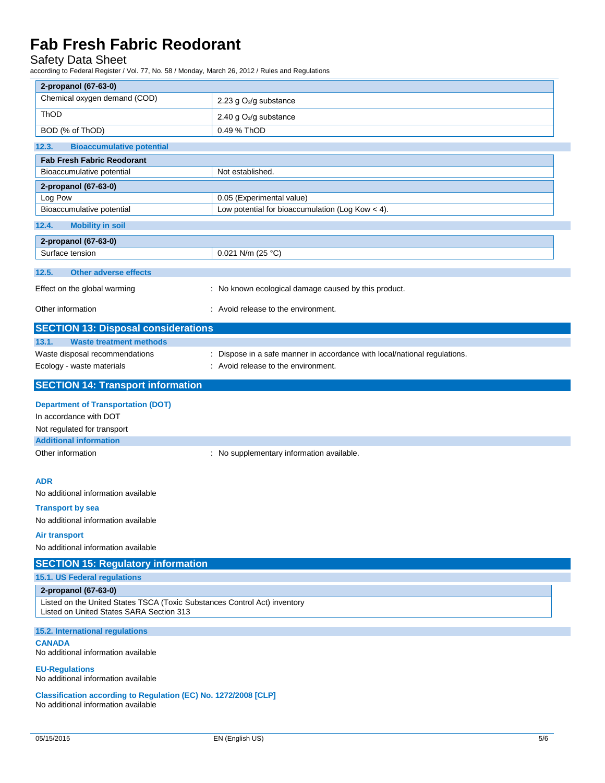### Safety Data Sheet

according to Federal Register / Vol. 77, No. 58 / Monday, March 26, 2012 / Rules and Regulations

| 2-propanol (67-63-0)                                                                                                                          |                                                                           |
|-----------------------------------------------------------------------------------------------------------------------------------------------|---------------------------------------------------------------------------|
| Chemical oxygen demand (COD)                                                                                                                  | 2.23 g O <sub>2</sub> /g substance                                        |
| ThOD                                                                                                                                          | 2.40 g O <sub>2</sub> /g substance                                        |
| BOD (% of ThOD)                                                                                                                               | 0.49 % ThOD                                                               |
| 12.3.<br><b>Bioaccumulative potential</b>                                                                                                     |                                                                           |
| <b>Fab Fresh Fabric Reodorant</b>                                                                                                             |                                                                           |
| Bioaccumulative potential                                                                                                                     | Not established.                                                          |
| 2-propanol (67-63-0)                                                                                                                          |                                                                           |
| Log Pow                                                                                                                                       | 0.05 (Experimental value)                                                 |
| Bioaccumulative potential                                                                                                                     | Low potential for bioaccumulation (Log Kow $<$ 4).                        |
| 12.4.<br><b>Mobility in soil</b>                                                                                                              |                                                                           |
| 2-propanol (67-63-0)                                                                                                                          |                                                                           |
| Surface tension                                                                                                                               | 0.021 N/m (25 °C)                                                         |
| 12.5.<br><b>Other adverse effects</b>                                                                                                         |                                                                           |
| Effect on the global warming                                                                                                                  | : No known ecological damage caused by this product.                      |
| Other information                                                                                                                             | : Avoid release to the environment.                                       |
| <b>SECTION 13: Disposal considerations</b>                                                                                                    |                                                                           |
| 13.1.<br><b>Waste treatment methods</b>                                                                                                       |                                                                           |
| Waste disposal recommendations                                                                                                                | : Dispose in a safe manner in accordance with local/national regulations. |
| Ecology - waste materials                                                                                                                     | : Avoid release to the environment.                                       |
| <b>SECTION 14: Transport information</b>                                                                                                      |                                                                           |
| <b>Department of Transportation (DOT)</b>                                                                                                     |                                                                           |
| In accordance with DOT                                                                                                                        |                                                                           |
| Not regulated for transport                                                                                                                   |                                                                           |
| <b>Additional information</b>                                                                                                                 |                                                                           |
| Other information                                                                                                                             | : No supplementary information available.                                 |
|                                                                                                                                               |                                                                           |
| <b>ADR</b>                                                                                                                                    |                                                                           |
| No additional information available                                                                                                           |                                                                           |
| <b>Transport by sea</b>                                                                                                                       |                                                                           |
| No additional information available                                                                                                           |                                                                           |
| Air transport                                                                                                                                 |                                                                           |
| No additional information available                                                                                                           |                                                                           |
| <b>SECTION 15: Regulatory information</b>                                                                                                     |                                                                           |
| 15.1. US Federal regulations                                                                                                                  |                                                                           |
| 2-propanol (67-63-0)<br>Listed on the United States TSCA (Toxic Substances Control Act) inventory<br>Listed on United States SARA Section 313 |                                                                           |
| 15.2. International regulations                                                                                                               |                                                                           |
| <b>CANADA</b><br>No additional information available                                                                                          |                                                                           |
| <b>EU-Regulations</b><br>No additional information available                                                                                  |                                                                           |
| Classification according to Regulation (EC) No. 1272/2008 [CLP]<br>No additional information available                                        |                                                                           |